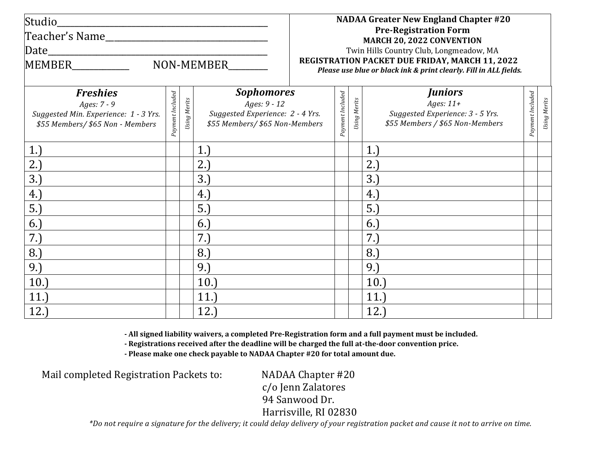| Studio                                                                                                      |                  |                     |                                                                                                         |                                                                                                                     |                  |              | <b>NADAA Greater New England Chapter #20</b>                                                         |                  |              |
|-------------------------------------------------------------------------------------------------------------|------------------|---------------------|---------------------------------------------------------------------------------------------------------|---------------------------------------------------------------------------------------------------------------------|------------------|--------------|------------------------------------------------------------------------------------------------------|------------------|--------------|
|                                                                                                             |                  |                     |                                                                                                         |                                                                                                                     |                  |              | <b>Pre-Registration Form</b><br>MARCH 20, 2022 CONVENTION                                            |                  |              |
|                                                                                                             |                  |                     |                                                                                                         |                                                                                                                     |                  |              | Twin Hills Country Club, Longmeadow, MA                                                              |                  |              |
| NON-MEMBER<br><b>MEMBER</b>                                                                                 |                  |                     |                                                                                                         | REGISTRATION PACKET DUE FRIDAY, MARCH 11, 2022<br>Please use blue or black ink & print clearly. Fill in ALL fields. |                  |              |                                                                                                      |                  |              |
| <b>Freshies</b><br>Ages: 7 - 9<br>Suggested Min. Experience: 1 - 3 Yrs.<br>\$55 Members/ \$65 Non - Members | Payment Included | <b>Jsing Merits</b> | <b>Sophomores</b><br>Ages: 9 - 12<br>Suggested Experience: 2 - 4 Yrs.<br>\$55 Members/ \$65 Non-Members |                                                                                                                     | Payment Included | Using Merits | <b>Juniors</b><br>Ages: $11+$<br>Suggested Experience: 3 - 5 Yrs.<br>\$55 Members / \$65 Non-Members | Payment Included | Using Merits |
| 1.)                                                                                                         |                  |                     | 1.                                                                                                      |                                                                                                                     |                  |              | 1.                                                                                                   |                  |              |
| 2.)                                                                                                         |                  |                     | 2.                                                                                                      |                                                                                                                     |                  |              | 2.)                                                                                                  |                  |              |
| 3.                                                                                                          |                  |                     | 3.                                                                                                      |                                                                                                                     |                  |              | 3.                                                                                                   |                  |              |
| 4.)                                                                                                         |                  |                     | 4.)                                                                                                     |                                                                                                                     |                  |              | 4.)                                                                                                  |                  |              |
| 5.                                                                                                          |                  |                     | 5.                                                                                                      |                                                                                                                     |                  |              | 5.                                                                                                   |                  |              |
| 6.)                                                                                                         |                  |                     | 6.                                                                                                      |                                                                                                                     |                  |              | 6.                                                                                                   |                  |              |
| 7.)                                                                                                         |                  |                     | 7.)                                                                                                     |                                                                                                                     |                  |              | 7.)                                                                                                  |                  |              |
| 8.                                                                                                          |                  |                     | 8.                                                                                                      |                                                                                                                     |                  |              | 8.                                                                                                   |                  |              |
| 9.)                                                                                                         |                  |                     | 9.)                                                                                                     |                                                                                                                     |                  |              | 9.)                                                                                                  |                  |              |
| 10.                                                                                                         |                  |                     | 10.                                                                                                     |                                                                                                                     |                  |              | 10.                                                                                                  |                  |              |
| 11.                                                                                                         |                  |                     | 11.                                                                                                     |                                                                                                                     |                  |              | 11.                                                                                                  |                  |              |
| 12.                                                                                                         |                  |                     | 12.                                                                                                     |                                                                                                                     |                  |              | 12.                                                                                                  |                  |              |

**- All signed liability waivers, a completed Pre-Registration form and a full payment must be included.**

**- Registrations received after the deadline will be charged the full at-the-door convention price.**

**- Please make one check payable to NADAA Chapter #20 for total amount due.**

Mail completed Registration Packets to: NADAA Chapter #20

c/o Jenn Zalatores 94 Sanwood Dr. Harrisville, RI 02830

\*Do not require a signature for the delivery; it could delay delivery of your registration packet and cause it not to arrive on time.